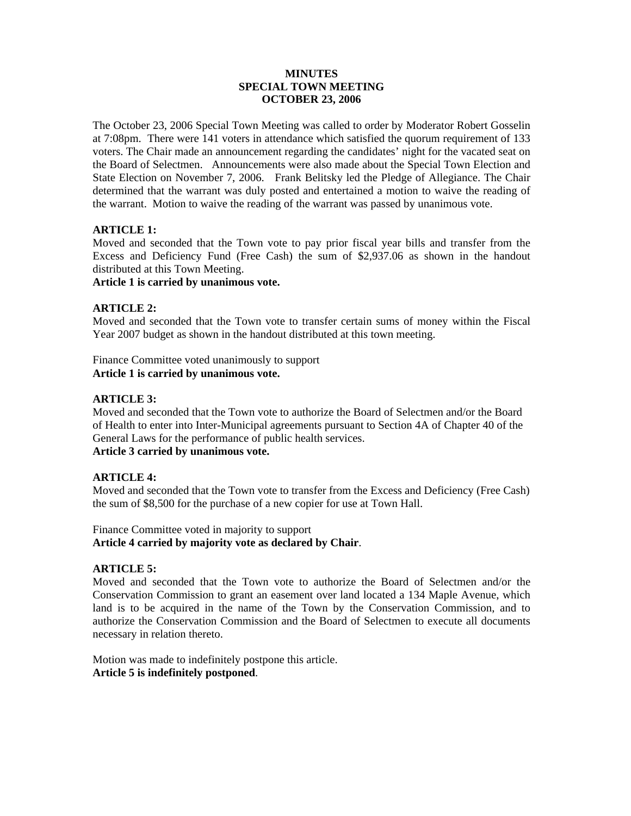### **MINUTES SPECIAL TOWN MEETING OCTOBER 23, 2006**

The October 23, 2006 Special Town Meeting was called to order by Moderator Robert Gosselin at 7:08pm. There were 141 voters in attendance which satisfied the quorum requirement of 133 voters. The Chair made an announcement regarding the candidates' night for the vacated seat on the Board of Selectmen. Announcements were also made about the Special Town Election and State Election on November 7, 2006. Frank Belitsky led the Pledge of Allegiance. The Chair determined that the warrant was duly posted and entertained a motion to waive the reading of the warrant. Motion to waive the reading of the warrant was passed by unanimous vote.

# **ARTICLE 1:**

Moved and seconded that the Town vote to pay prior fiscal year bills and transfer from the Excess and Deficiency Fund (Free Cash) the sum of \$2,937.06 as shown in the handout distributed at this Town Meeting.

**Article 1 is carried by unanimous vote.** 

## **ARTICLE 2:**

Moved and seconded that the Town vote to transfer certain sums of money within the Fiscal Year 2007 budget as shown in the handout distributed at this town meeting.

Finance Committee voted unanimously to support **Article 1 is carried by unanimous vote.** 

## **ARTICLE 3:**

Moved and seconded that the Town vote to authorize the Board of Selectmen and/or the Board of Health to enter into Inter-Municipal agreements pursuant to Section 4A of Chapter 40 of the General Laws for the performance of public health services. **Article 3 carried by unanimous vote.** 

## **ARTICLE 4:**

Moved and seconded that the Town vote to transfer from the Excess and Deficiency (Free Cash) the sum of \$8,500 for the purchase of a new copier for use at Town Hall.

Finance Committee voted in majority to support **Article 4 carried by majority vote as declared by Chair**.

## **ARTICLE 5:**

Moved and seconded that the Town vote to authorize the Board of Selectmen and/or the Conservation Commission to grant an easement over land located a 134 Maple Avenue, which land is to be acquired in the name of the Town by the Conservation Commission, and to authorize the Conservation Commission and the Board of Selectmen to execute all documents necessary in relation thereto.

Motion was made to indefinitely postpone this article. **Article 5 is indefinitely postponed**.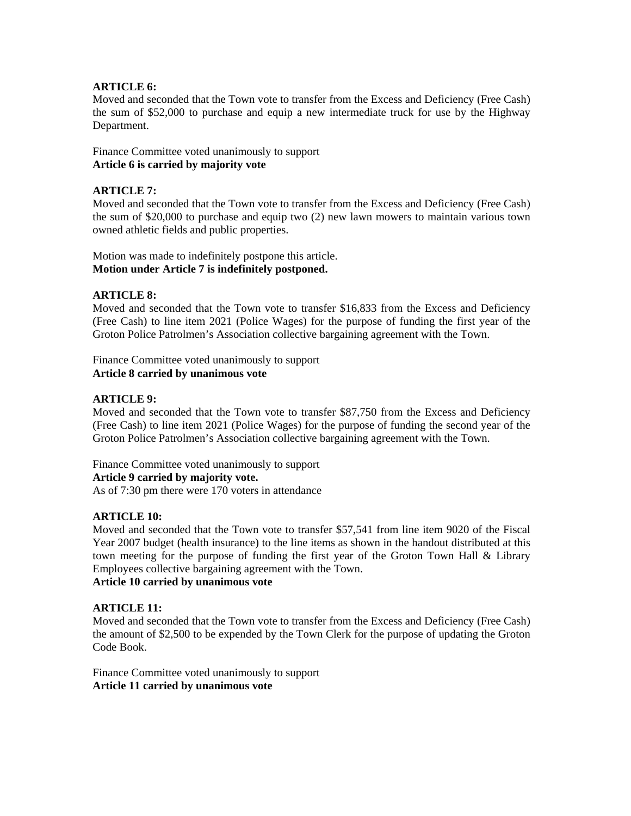## **ARTICLE 6:**

Moved and seconded that the Town vote to transfer from the Excess and Deficiency (Free Cash) the sum of \$52,000 to purchase and equip a new intermediate truck for use by the Highway Department.

Finance Committee voted unanimously to support **Article 6 is carried by majority vote** 

## **ARTICLE 7:**

Moved and seconded that the Town vote to transfer from the Excess and Deficiency (Free Cash) the sum of \$20,000 to purchase and equip two (2) new lawn mowers to maintain various town owned athletic fields and public properties.

Motion was made to indefinitely postpone this article. **Motion under Article 7 is indefinitely postponed.** 

## **ARTICLE 8:**

Moved and seconded that the Town vote to transfer \$16,833 from the Excess and Deficiency (Free Cash) to line item 2021 (Police Wages) for the purpose of funding the first year of the Groton Police Patrolmen's Association collective bargaining agreement with the Town.

Finance Committee voted unanimously to support **Article 8 carried by unanimous vote** 

## **ARTICLE 9:**

Moved and seconded that the Town vote to transfer \$87,750 from the Excess and Deficiency (Free Cash) to line item 2021 (Police Wages) for the purpose of funding the second year of the Groton Police Patrolmen's Association collective bargaining agreement with the Town.

Finance Committee voted unanimously to support **Article 9 carried by majority vote.**  As of 7:30 pm there were 170 voters in attendance

## **ARTICLE 10:**

Moved and seconded that the Town vote to transfer \$57,541 from line item 9020 of the Fiscal Year 2007 budget (health insurance) to the line items as shown in the handout distributed at this town meeting for the purpose of funding the first year of the Groton Town Hall & Library Employees collective bargaining agreement with the Town.

## **Article 10 carried by unanimous vote**

#### **ARTICLE 11:**

Moved and seconded that the Town vote to transfer from the Excess and Deficiency (Free Cash) the amount of \$2,500 to be expended by the Town Clerk for the purpose of updating the Groton Code Book.

Finance Committee voted unanimously to support **Article 11 carried by unanimous vote**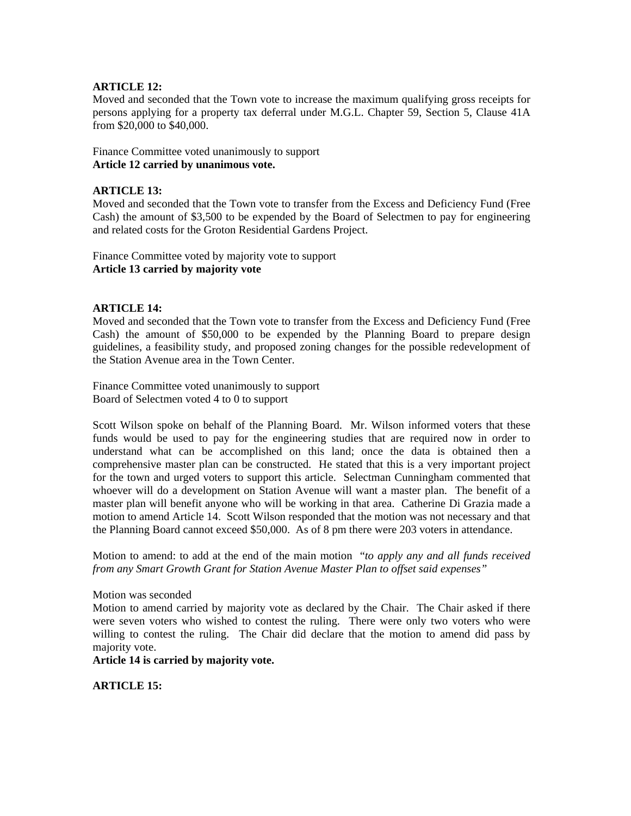### **ARTICLE 12:**

Moved and seconded that the Town vote to increase the maximum qualifying gross receipts for persons applying for a property tax deferral under M.G.L. Chapter 59, Section 5, Clause 41A from \$20,000 to \$40,000.

Finance Committee voted unanimously to support **Article 12 carried by unanimous vote.** 

## **ARTICLE 13:**

Moved and seconded that the Town vote to transfer from the Excess and Deficiency Fund (Free Cash) the amount of \$3,500 to be expended by the Board of Selectmen to pay for engineering and related costs for the Groton Residential Gardens Project.

Finance Committee voted by majority vote to support **Article 13 carried by majority vote** 

#### **ARTICLE 14:**

Moved and seconded that the Town vote to transfer from the Excess and Deficiency Fund (Free Cash) the amount of \$50,000 to be expended by the Planning Board to prepare design guidelines, a feasibility study, and proposed zoning changes for the possible redevelopment of the Station Avenue area in the Town Center.

Finance Committee voted unanimously to support Board of Selectmen voted 4 to 0 to support

Scott Wilson spoke on behalf of the Planning Board. Mr. Wilson informed voters that these funds would be used to pay for the engineering studies that are required now in order to understand what can be accomplished on this land; once the data is obtained then a comprehensive master plan can be constructed. He stated that this is a very important project for the town and urged voters to support this article. Selectman Cunningham commented that whoever will do a development on Station Avenue will want a master plan. The benefit of a master plan will benefit anyone who will be working in that area. Catherine Di Grazia made a motion to amend Article 14. Scott Wilson responded that the motion was not necessary and that the Planning Board cannot exceed \$50,000. As of 8 pm there were 203 voters in attendance.

Motion to amend: to add at the end of the main motion "*to apply any and all funds received from any Smart Growth Grant for Station Avenue Master Plan to offset said expenses"* 

Motion was seconded

Motion to amend carried by majority vote as declared by the Chair. The Chair asked if there were seven voters who wished to contest the ruling. There were only two voters who were willing to contest the ruling. The Chair did declare that the motion to amend did pass by majority vote.

**Article 14 is carried by majority vote.** 

**ARTICLE 15:**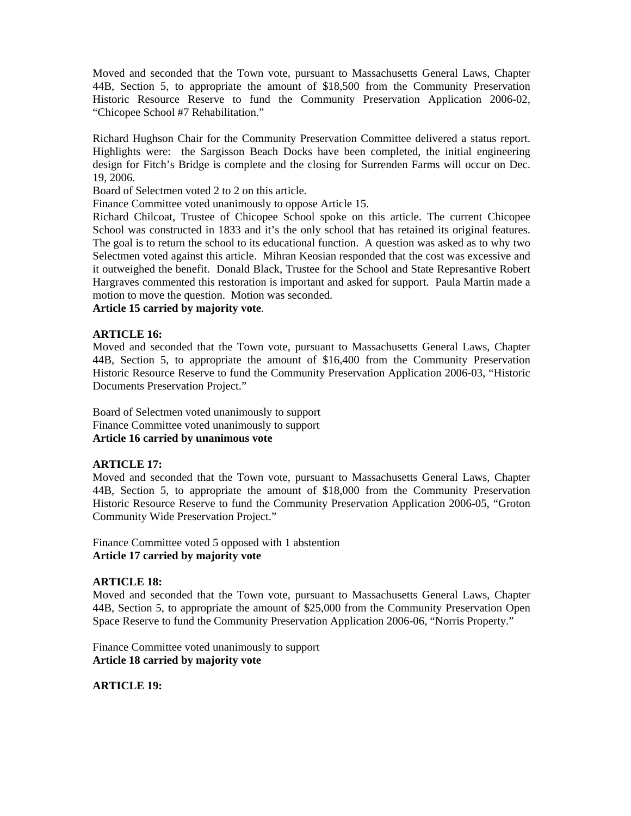Moved and seconded that the Town vote, pursuant to Massachusetts General Laws, Chapter 44B, Section 5, to appropriate the amount of \$18,500 from the Community Preservation Historic Resource Reserve to fund the Community Preservation Application 2006-02, "Chicopee School #7 Rehabilitation."

Richard Hughson Chair for the Community Preservation Committee delivered a status report. Highlights were: the Sargisson Beach Docks have been completed, the initial engineering design for Fitch's Bridge is complete and the closing for Surrenden Farms will occur on Dec. 19, 2006.

Board of Selectmen voted 2 to 2 on this article.

Finance Committee voted unanimously to oppose Article 15.

Richard Chilcoat, Trustee of Chicopee School spoke on this article. The current Chicopee School was constructed in 1833 and it's the only school that has retained its original features. The goal is to return the school to its educational function. A question was asked as to why two Selectmen voted against this article. Mihran Keosian responded that the cost was excessive and it outweighed the benefit. Donald Black, Trustee for the School and State Represantive Robert Hargraves commented this restoration is important and asked for support. Paula Martin made a motion to move the question. Motion was seconded.

### **Article 15 carried by majority vote**.

#### **ARTICLE 16:**

Moved and seconded that the Town vote, pursuant to Massachusetts General Laws, Chapter 44B, Section 5, to appropriate the amount of \$16,400 from the Community Preservation Historic Resource Reserve to fund the Community Preservation Application 2006-03, "Historic Documents Preservation Project."

Board of Selectmen voted unanimously to support Finance Committee voted unanimously to support **Article 16 carried by unanimous vote** 

## **ARTICLE 17:**

Moved and seconded that the Town vote, pursuant to Massachusetts General Laws, Chapter 44B, Section 5, to appropriate the amount of \$18,000 from the Community Preservation Historic Resource Reserve to fund the Community Preservation Application 2006-05, "Groton Community Wide Preservation Project."

Finance Committee voted 5 opposed with 1 abstention **Article 17 carried by majority vote** 

#### **ARTICLE 18:**

Moved and seconded that the Town vote, pursuant to Massachusetts General Laws, Chapter 44B, Section 5, to appropriate the amount of \$25,000 from the Community Preservation Open Space Reserve to fund the Community Preservation Application 2006-06, "Norris Property."

Finance Committee voted unanimously to support **Article 18 carried by majority vote** 

## **ARTICLE 19:**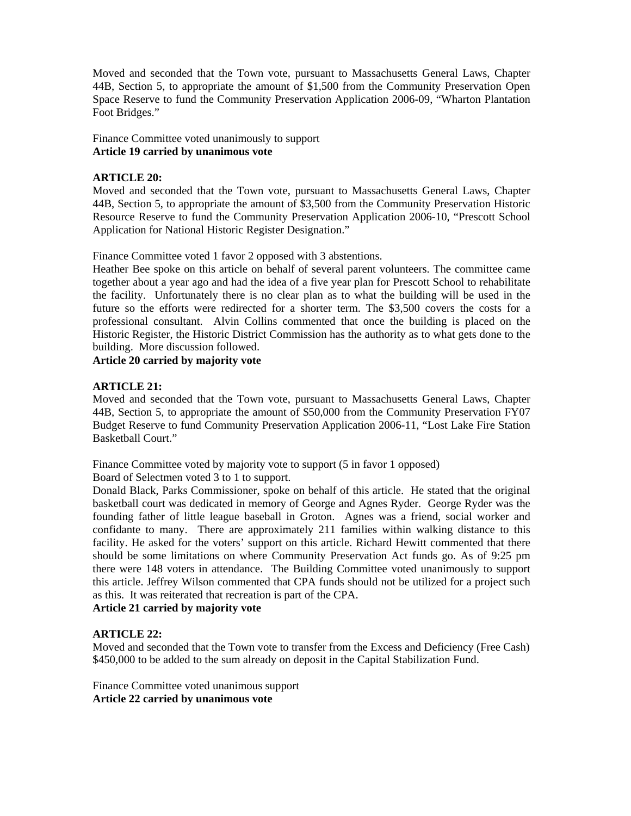Moved and seconded that the Town vote, pursuant to Massachusetts General Laws, Chapter 44B, Section 5, to appropriate the amount of \$1,500 from the Community Preservation Open Space Reserve to fund the Community Preservation Application 2006-09, "Wharton Plantation Foot Bridges."

Finance Committee voted unanimously to support **Article 19 carried by unanimous vote** 

## **ARTICLE 20:**

Moved and seconded that the Town vote, pursuant to Massachusetts General Laws, Chapter 44B, Section 5, to appropriate the amount of \$3,500 from the Community Preservation Historic Resource Reserve to fund the Community Preservation Application 2006-10, "Prescott School Application for National Historic Register Designation."

Finance Committee voted 1 favor 2 opposed with 3 abstentions.

Heather Bee spoke on this article on behalf of several parent volunteers. The committee came together about a year ago and had the idea of a five year plan for Prescott School to rehabilitate the facility. Unfortunately there is no clear plan as to what the building will be used in the future so the efforts were redirected for a shorter term. The \$3,500 covers the costs for a professional consultant. Alvin Collins commented that once the building is placed on the Historic Register, the Historic District Commission has the authority as to what gets done to the building. More discussion followed.

**Article 20 carried by majority vote** 

## **ARTICLE 21:**

Moved and seconded that the Town vote, pursuant to Massachusetts General Laws, Chapter 44B, Section 5, to appropriate the amount of \$50,000 from the Community Preservation FY07 Budget Reserve to fund Community Preservation Application 2006-11, "Lost Lake Fire Station Basketball Court."

Finance Committee voted by majority vote to support (5 in favor 1 opposed)

Board of Selectmen voted 3 to 1 to support.

Donald Black, Parks Commissioner, spoke on behalf of this article. He stated that the original basketball court was dedicated in memory of George and Agnes Ryder. George Ryder was the founding father of little league baseball in Groton. Agnes was a friend, social worker and confidante to many. There are approximately 211 families within walking distance to this facility. He asked for the voters' support on this article. Richard Hewitt commented that there should be some limitations on where Community Preservation Act funds go. As of 9:25 pm there were 148 voters in attendance. The Building Committee voted unanimously to support this article. Jeffrey Wilson commented that CPA funds should not be utilized for a project such as this. It was reiterated that recreation is part of the CPA.

**Article 21 carried by majority vote**

## **ARTICLE 22:**

Moved and seconded that the Town vote to transfer from the Excess and Deficiency (Free Cash) \$450,000 to be added to the sum already on deposit in the Capital Stabilization Fund.

Finance Committee voted unanimous support **Article 22 carried by unanimous vote**